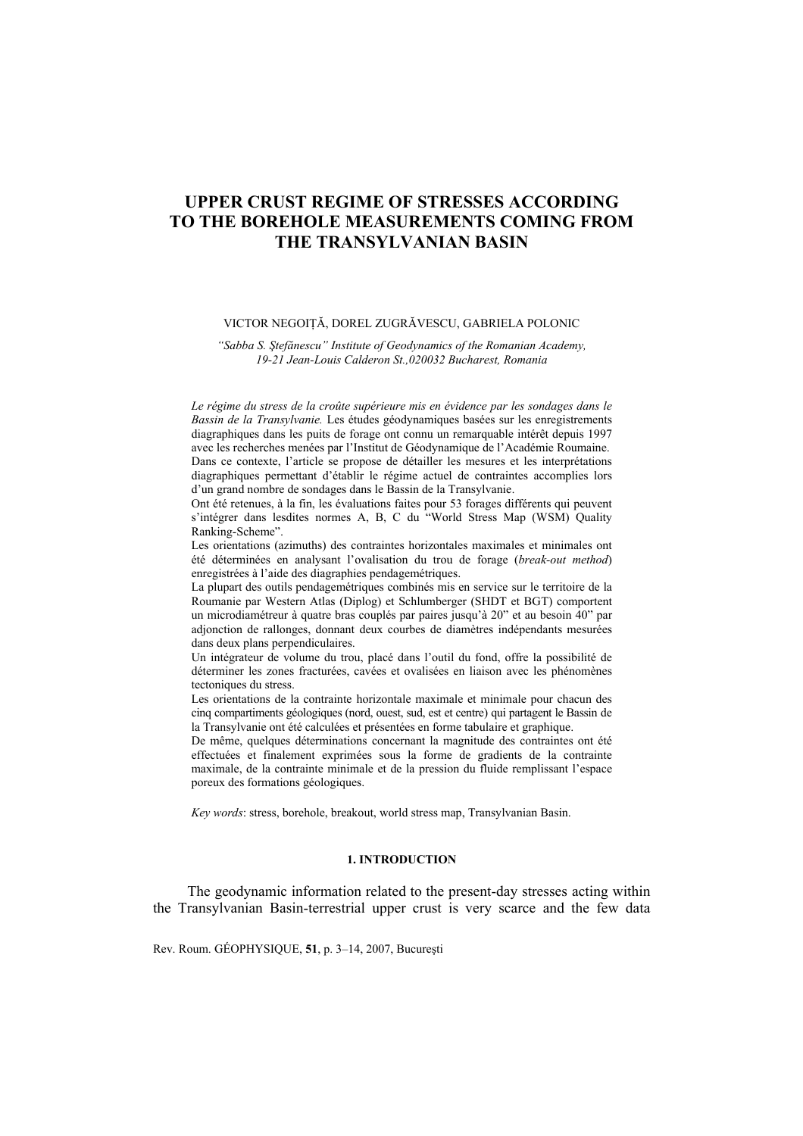# **UPPER CRUST REGIME OF STRESSES ACCORDING TO THE BOREHOLE MEASUREMENTS COMING FROM THE TRANSYLVANIAN BASIN**

# VICTOR NEGOIŢĂ, DOREL ZUGRĂVESCU, GABRIELA POLONIC

*"Sabba S. Ştefănescu" Institute of Geodynamics of the Romanian Academy, 19-21 Jean-Louis Calderon St.,020032 Bucharest, Romania* 

*Le régime du stress de la croûte supérieure mis en évidence par les sondages dans le Bassin de la Transylvanie.* Les études géodynamiques basées sur les enregistrements diagraphiques dans les puits de forage ont connu un remarquable intérêt depuis 1997 avec les recherches menées par l'Institut de Géodynamique de l'Académie Roumaine. Dans ce contexte, l'article se propose de détailler les mesures et les interprétations diagraphiques permettant d'établir le régime actuel de contraintes accomplies lors d'un grand nombre de sondages dans le Bassin de la Transylvanie.

Ont été retenues, à la fin, les évaluations faites pour 53 forages différents qui peuvent s'intégrer dans lesdites normes A, B, C du "World Stress Map (WSM) Quality Ranking-Scheme".

Les orientations (azimuths) des contraintes horizontales maximales et minimales ont été déterminées en analysant l'ovalisation du trou de forage (*break-out method*) enregistrées à l'aide des diagraphies pendagemétriques.

La plupart des outils pendagemétriques combinés mis en service sur le territoire de la Roumanie par Western Atlas (Diplog) et Schlumberger (SHDT et BGT) comportent un microdiamétreur à quatre bras couplés par paires jusqu'à 20" et au besoin 40" par adjonction de rallonges, donnant deux courbes de diamètres indépendants mesurées dans deux plans perpendiculaires.

Un intégrateur de volume du trou, placé dans l'outil du fond, offre la possibilité de déterminer les zones fracturées, cavées et ovalisées en liaison avec les phénomènes tectoniques du stress.

Les orientations de la contrainte horizontale maximale et minimale pour chacun des cinq compartiments géologiques (nord, ouest, sud, est et centre) qui partagent le Bassin de la Transylvanie ont été calculées et présentées en forme tabulaire et graphique.

De même, quelques déterminations concernant la magnitude des contraintes ont été effectuées et finalement exprimées sous la forme de gradients de la contrainte maximale, de la contrainte minimale et de la pression du fluide remplissant l'espace poreux des formations géologiques.

*Key words*: stress, borehole, breakout, world stress map, Transylvanian Basin.

#### **1. INTRODUCTION**

The geodynamic information related to the present-day stresses acting within the Transylvanian Basin-terrestrial upper crust is very scarce and the few data

Rev. Roum. GÉOPHYSIQUE, **51**, p. 3–14, 2007, Bucureşti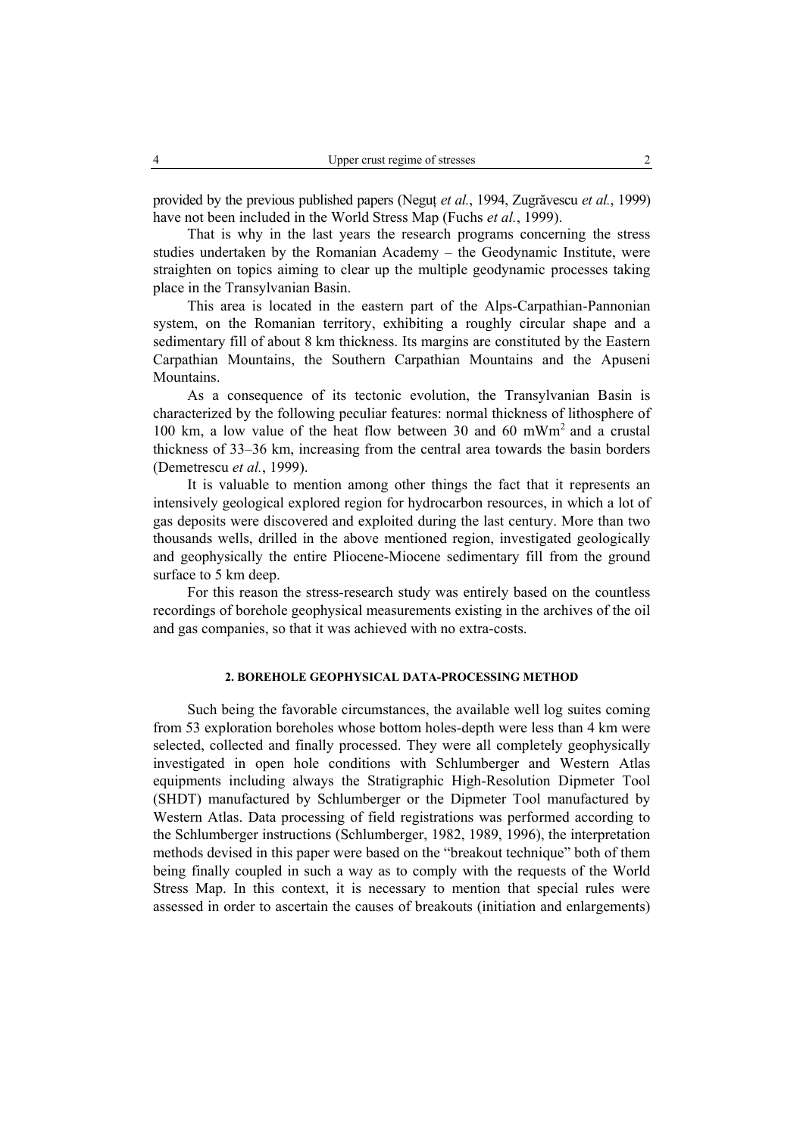provided by the previous published papers (Neguţ *et al.*, 1994, Zugrăvescu *et al.*, 1999) have not been included in the World Stress Map (Fuchs *et al.*, 1999).

That is why in the last years the research programs concerning the stress studies undertaken by the Romanian Academy – the Geodynamic Institute, were straighten on topics aiming to clear up the multiple geodynamic processes taking place in the Transylvanian Basin.

This area is located in the eastern part of the Alps-Carpathian-Pannonian system, on the Romanian territory, exhibiting a roughly circular shape and a sedimentary fill of about 8 km thickness. Its margins are constituted by the Eastern Carpathian Mountains, the Southern Carpathian Mountains and the Apuseni Mountains.

As a consequence of its tectonic evolution, the Transylvanian Basin is characterized by the following peculiar features: normal thickness of lithosphere of 100 km, a low value of the heat flow between 30 and 60 mWm<sup>2</sup> and a crustal thickness of 33–36 km, increasing from the central area towards the basin borders (Demetrescu *et al.*, 1999).

It is valuable to mention among other things the fact that it represents an intensively geological explored region for hydrocarbon resources, in which a lot of gas deposits were discovered and exploited during the last century. More than two thousands wells, drilled in the above mentioned region, investigated geologically and geophysically the entire Pliocene-Miocene sedimentary fill from the ground surface to 5 km deep.

For this reason the stress-research study was entirely based on the countless recordings of borehole geophysical measurements existing in the archives of the oil and gas companies, so that it was achieved with no extra-costs.

# **2. BOREHOLE GEOPHYSICAL DATA-PROCESSING METHOD**

Such being the favorable circumstances, the available well log suites coming from 53 exploration boreholes whose bottom holes-depth were less than 4 km were selected, collected and finally processed. They were all completely geophysically investigated in open hole conditions with Schlumberger and Western Atlas equipments including always the Stratigraphic High-Resolution Dipmeter Tool (SHDT) manufactured by Schlumberger or the Dipmeter Tool manufactured by Western Atlas. Data processing of field registrations was performed according to the Schlumberger instructions (Schlumberger, 1982, 1989, 1996), the interpretation methods devised in this paper were based on the "breakout technique" both of them being finally coupled in such a way as to comply with the requests of the World Stress Map. In this context, it is necessary to mention that special rules were assessed in order to ascertain the causes of breakouts (initiation and enlargements)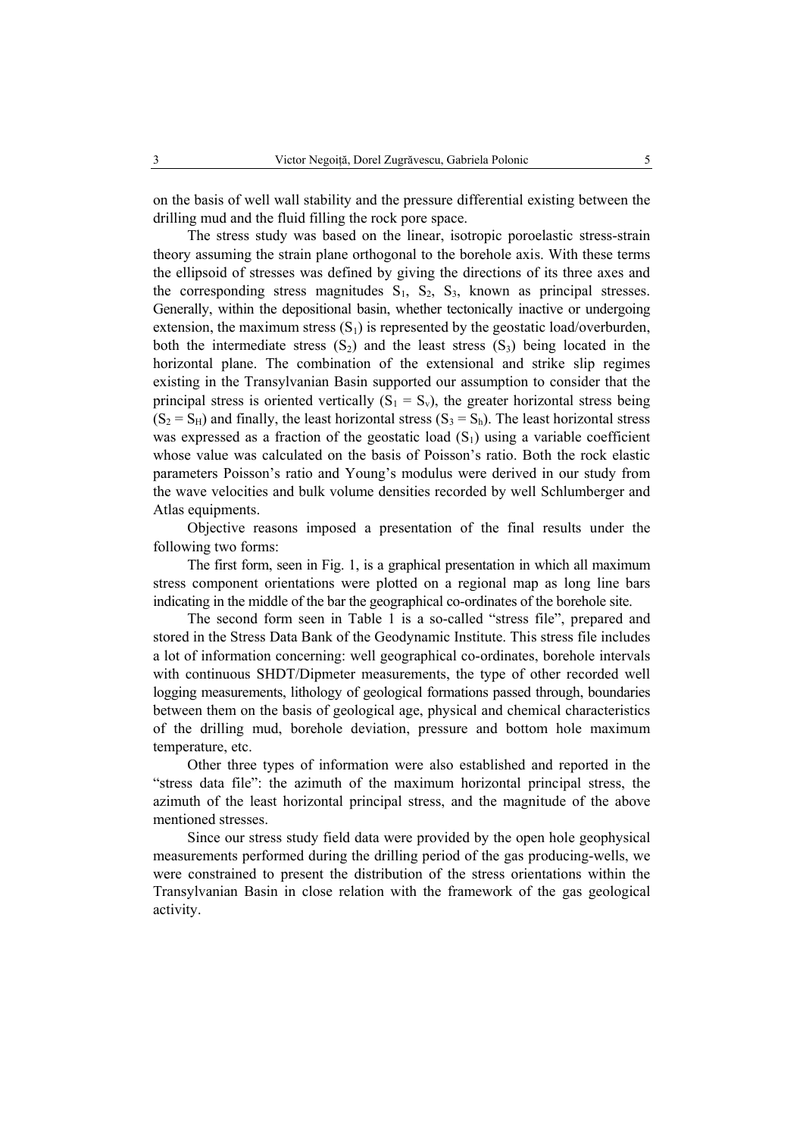on the basis of well wall stability and the pressure differential existing between the drilling mud and the fluid filling the rock pore space.

The stress study was based on the linear, isotropic poroelastic stress-strain theory assuming the strain plane orthogonal to the borehole axis. With these terms the ellipsoid of stresses was defined by giving the directions of its three axes and the corresponding stress magnitudes  $S_1$ ,  $S_2$ ,  $S_3$ , known as principal stresses. Generally, within the depositional basin, whether tectonically inactive or undergoing extension, the maximum stress  $(S_1)$  is represented by the geostatic load/overburden, both the intermediate stress  $(S_2)$  and the least stress  $(S_3)$  being located in the horizontal plane. The combination of the extensional and strike slip regimes existing in the Transylvanian Basin supported our assumption to consider that the principal stress is oriented vertically  $(S_1 = S_v)$ , the greater horizontal stress being  $(S_2 = S_H)$  and finally, the least horizontal stress  $(S_3 = S_h)$ . The least horizontal stress was expressed as a fraction of the geostatic load  $(S_1)$  using a variable coefficient whose value was calculated on the basis of Poisson's ratio. Both the rock elastic parameters Poisson's ratio and Young's modulus were derived in our study from the wave velocities and bulk volume densities recorded by well Schlumberger and Atlas equipments.

Objective reasons imposed a presentation of the final results under the following two forms:

The first form, seen in Fig. 1, is a graphical presentation in which all maximum stress component orientations were plotted on a regional map as long line bars indicating in the middle of the bar the geographical co-ordinates of the borehole site.

The second form seen in Table 1 is a so-called "stress file", prepared and stored in the Stress Data Bank of the Geodynamic Institute. This stress file includes a lot of information concerning: well geographical co-ordinates, borehole intervals with continuous SHDT/Dipmeter measurements, the type of other recorded well logging measurements, lithology of geological formations passed through, boundaries between them on the basis of geological age, physical and chemical characteristics of the drilling mud, borehole deviation, pressure and bottom hole maximum temperature, etc.

Other three types of information were also established and reported in the "stress data file": the azimuth of the maximum horizontal principal stress, the azimuth of the least horizontal principal stress, and the magnitude of the above mentioned stresses.

Since our stress study field data were provided by the open hole geophysical measurements performed during the drilling period of the gas producing-wells, we were constrained to present the distribution of the stress orientations within the Transylvanian Basin in close relation with the framework of the gas geological activity.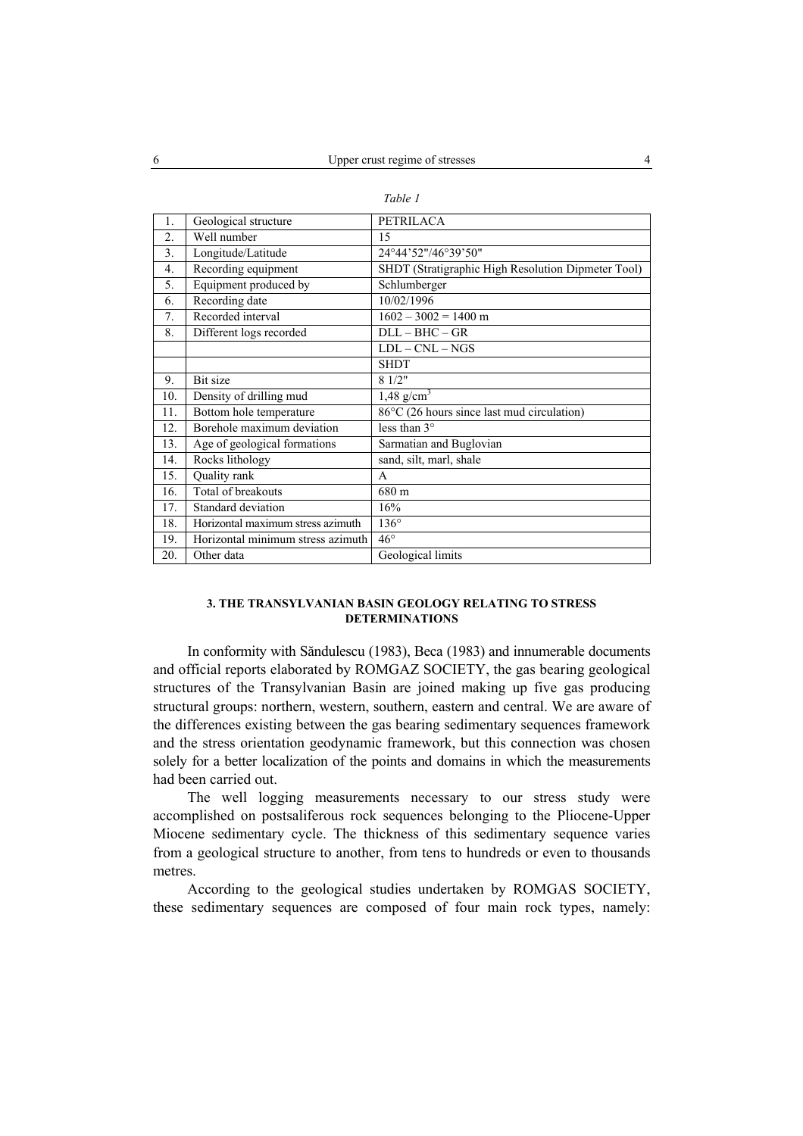| 1.               | Geological structure              | <b>PETRILACA</b>                                   |
|------------------|-----------------------------------|----------------------------------------------------|
| $\overline{2}$ . | Well number                       | 15                                                 |
| 3.               | Longitude/Latitude                | 24°44'52"/46°39'50"                                |
| $\overline{4}$ . | Recording equipment               | SHDT (Stratigraphic High Resolution Dipmeter Tool) |
| 5.               | Equipment produced by             | Schlumberger                                       |
| 6.               | Recording date                    | 10/02/1996                                         |
| 7.               | Recorded interval                 | $1602 - 3002 = 1400$ m                             |
| 8.               | Different logs recorded           | $\overline{DLL}$ – BHC – GR                        |
|                  |                                   | $LDL - CNL - NGS$                                  |
|                  |                                   | <b>SHDT</b>                                        |
| 9.               | Bit size                          | 81/2"                                              |
| 10.              | Density of drilling mud           | $1,48 \overline{\text{g/cm}^3}$                    |
| 11.              | Bottom hole temperature           | 86°C (26 hours since last mud circulation)         |
| 12.              | Borehole maximum deviation        | less than $3^\circ$                                |
| 13.              | Age of geological formations      | Sarmatian and Buglovian                            |
| 14.              | Rocks lithology                   | sand, silt, marl, shale                            |
| 15.              | Quality rank                      | A                                                  |
| 16.              | Total of breakouts                | 680 m                                              |
| 17.              | Standard deviation                | 16%                                                |
| 18.              | Horizontal maximum stress azimuth | $136^\circ$                                        |
| 19.              | Horizontal minimum stress azimuth | $46^{\circ}$                                       |
| 20.              | Other data                        | Geological limits                                  |

|--|--|

# **3. THE TRANSYLVANIAN BASIN GEOLOGY RELATING TO STRESS DETERMINATIONS**

In conformity with Săndulescu (1983), Beca (1983) and innumerable documents and official reports elaborated by ROMGAZ SOCIETY, the gas bearing geological structures of the Transylvanian Basin are joined making up five gas producing structural groups: northern, western, southern, eastern and central. We are aware of the differences existing between the gas bearing sedimentary sequences framework and the stress orientation geodynamic framework, but this connection was chosen solely for a better localization of the points and domains in which the measurements had been carried out.

The well logging measurements necessary to our stress study were accomplished on postsaliferous rock sequences belonging to the Pliocene-Upper Miocene sedimentary cycle. The thickness of this sedimentary sequence varies from a geological structure to another, from tens to hundreds or even to thousands metres.

According to the geological studies undertaken by ROMGAS SOCIETY, these sedimentary sequences are composed of four main rock types, namely: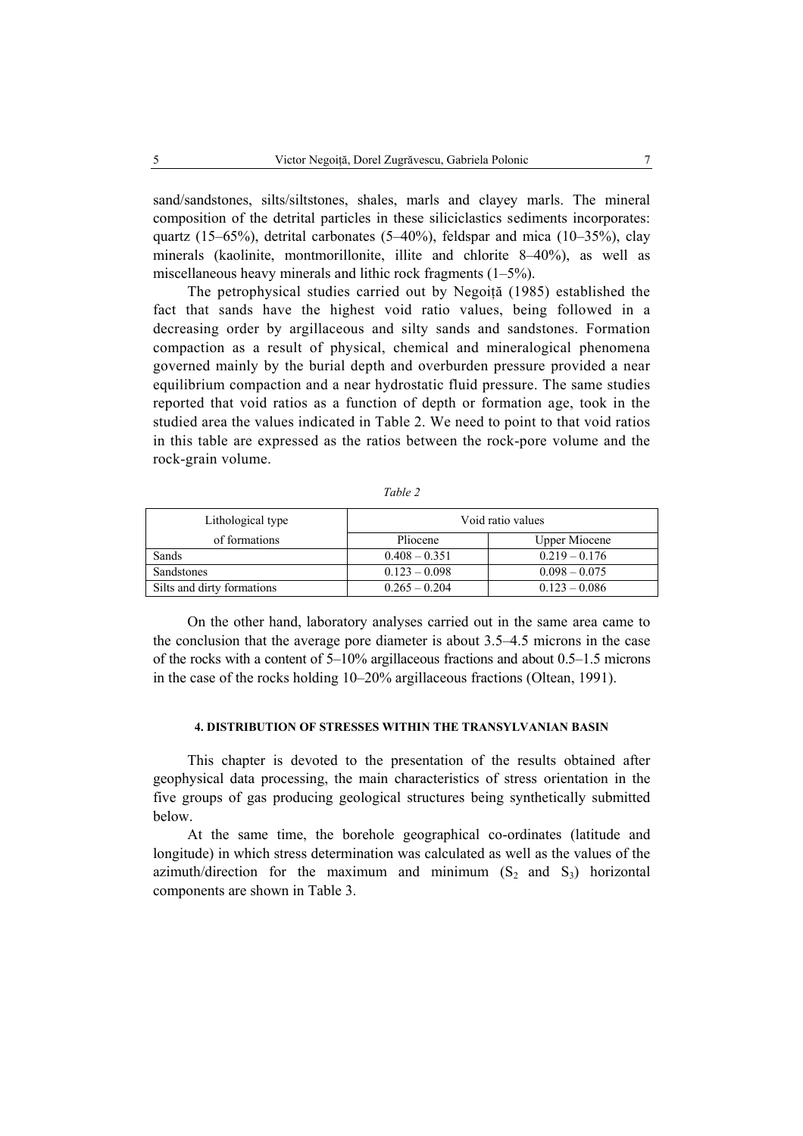sand/sandstones, silts/siltstones, shales, marls and clayey marls. The mineral composition of the detrital particles in these siliciclastics sediments incorporates: quartz (15–65%), detrital carbonates (5–40%), feldspar and mica (10–35%), clay minerals (kaolinite, montmorillonite, illite and chlorite 8–40%), as well as miscellaneous heavy minerals and lithic rock fragments (1–5%).

The petrophysical studies carried out by Negoită (1985) established the fact that sands have the highest void ratio values, being followed in a decreasing order by argillaceous and silty sands and sandstones. Formation compaction as a result of physical, chemical and mineralogical phenomena governed mainly by the burial depth and overburden pressure provided a near equilibrium compaction and a near hydrostatic fluid pressure. The same studies reported that void ratios as a function of depth or formation age, took in the studied area the values indicated in Table 2. We need to point to that void ratios in this table are expressed as the ratios between the rock-pore volume and the rock-grain volume.

| Lithological type          | Void ratio values |                 |  |  |
|----------------------------|-------------------|-----------------|--|--|
| of formations              | Pliocene          | Upper Miocene   |  |  |
| Sands                      | $0.408 - 0.351$   | $0.219 - 0.176$ |  |  |
| <b>Sandstones</b>          | $0.123 - 0.098$   | $0.098 - 0.075$ |  |  |
| Silts and dirty formations | $0.265 - 0.204$   | $0.123 - 0.086$ |  |  |

*Table 2* 

On the other hand, laboratory analyses carried out in the same area came to the conclusion that the average pore diameter is about 3.5–4.5 microns in the case of the rocks with a content of 5–10% argillaceous fractions and about 0.5–1.5 microns in the case of the rocks holding 10–20% argillaceous fractions (Oltean, 1991).

## **4. DISTRIBUTION OF STRESSES WITHIN THE TRANSYLVANIAN BASIN**

This chapter is devoted to the presentation of the results obtained after geophysical data processing, the main characteristics of stress orientation in the five groups of gas producing geological structures being synthetically submitted below.

At the same time, the borehole geographical co-ordinates (latitude and longitude) in which stress determination was calculated as well as the values of the azimuth/direction for the maximum and minimum  $(S_2 \text{ and } S_3)$  horizontal components are shown in Table 3.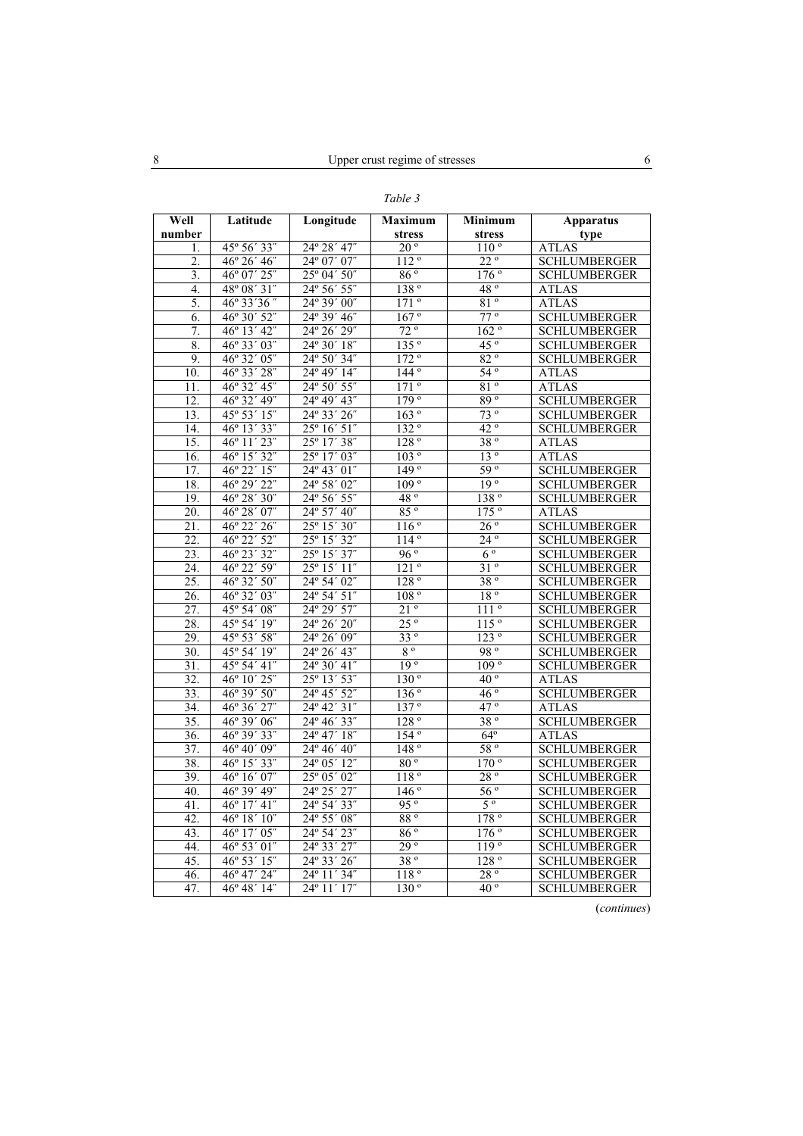| Well<br>number    | Latitude              | Longitude                                          | <b>Maximum</b><br>stress | Minimum<br>stress | Apparatus<br>type   |
|-------------------|-----------------------|----------------------------------------------------|--------------------------|-------------------|---------------------|
| 1.                | 45° 56' 33"           | 24° 28' 47"                                        | $20^{\circ}$             | 110 <sup>o</sup>  | <b>ATLAS</b>        |
| 2.                | $46^{\circ} 26' 46''$ | $24^{\circ}$ 07' 07"                               | 112 <sup>o</sup>         | $22^{\circ}$      | <b>SCHLUMBERGER</b> |
| 3.                | 46° 07' 25"           | $25^{\circ}$ 04' $50^{\circ}$                      | $86\degree$              | $176^{\circ}$     | SCHLUMBERGER        |
| 4.                | 48° 08′ 31″           | 24° 56′ 55″                                        | 138 <sup>°</sup>         | 48°               | ATLAS               |
| 5.                | 46° 33' 36"           | 24° 39' 00"                                        | 171°                     | $81^{\circ}$      | <b>ATLAS</b>        |
| 6.                | $46^{\circ} 30' 52''$ | 24° 39′ 46″                                        | 167°                     | $77^{\circ}$      | <b>SCHLUMBERGER</b> |
| 7.                | 46° 13′ 42″           | 24° 26' 29"                                        | $72^{\circ}$             | 162°              | <b>SCHLUMBERGER</b> |
| 8.                | $46^{\circ} 33' 03''$ | $24^{\circ}30'18''$                                | 135°                     | $45^{\circ}$      | <b>SCHLUMBERGER</b> |
| 9.                | 46° 32' 05"           | 24° 50' 34"                                        | 172°                     | 82°               | <b>SCHLUMBERGER</b> |
| 10.               | 46° 33' 28"           | 24° 49' 14"                                        | $144^\circ$              | $54^{\circ}$      | <b>ATLAS</b>        |
| 11.               | 46° 32' 45"           | 24° 50' 55"                                        | 171°                     | 81°               | <b>ATLAS</b>        |
| 12.               | 46° 32' 49"           | 24° 49' 43"                                        | 179 <sup>o</sup>         | 89°               | <b>SCHLUMBERGER</b> |
| 13.               | 45° 53′ 15″           | 24° 33' 26"                                        | 163°                     | $73^{\circ}$      | <b>SCHLUMBERGER</b> |
| 14.               | 46° 13′ 33″           | $25^{\circ} 16' 51''$                              | 132°                     | $42^{\circ}$      | <b>SCHLUMBERGER</b> |
| 15.               | 46° 11′ 23″           | 25° 17′ 38″                                        | 128°                     | 38°               | <b>ATLAS</b>        |
| 16.               | 46° 15' 32"           | 25° 17' 03"                                        | 103°                     | 13 <sup>o</sup>   | <b>ATLAS</b>        |
| 17.               | 46° 22′ 15″           | 24° 43' 01"                                        | 149°                     | $59^{\circ}$      | <b>SCHLUMBERGER</b> |
| 18.               | 46° 29' 22"           | 24° 58' 02"                                        | 109°                     | 19 <sup>o</sup>   | <b>SCHLUMBERGER</b> |
| 19.               | $46^{\circ} 28' 30''$ | 24° 56' 55"                                        | 48 <sup>°</sup>          | 138°              | <b>SCHLUMBERGER</b> |
| 20.               | $46^{\circ} 28' 07''$ | 24° 57' 40"                                        | 85 <sup>°</sup>          | 175°              | <b>ATLAS</b>        |
| 21.               | 46° 22′ 26″           | 25° 15′ 30″                                        | 116°                     | $26^{\circ}$      | <b>SCHLUMBERGER</b> |
| 22.               | 46° 22' 52"           | 25° 15' 32"                                        | 114°                     | $24^{\circ}$      | <b>SCHLUMBERGER</b> |
| $\overline{23}$ . | 46° 23′ 32″           | 25° 15′ 37″                                        | 96°                      | $6^{\circ}$       | <b>SCHLUMBERGER</b> |
| 24.               | 46° 22' 59"           | 25° 15' 11"                                        | 121°                     | 31°               | <b>SCHLUMBERGER</b> |
| 25.               | 46° 32' 50"           | 24° 54' 02"                                        | 128°                     | 38 °              | <b>SCHLUMBERGER</b> |
| 26.               | 46° 32' 03"           | 24° 54' 51"                                        | 108 <sup>o</sup>         | 18 <sup>o</sup>   | <b>SCHLUMBERGER</b> |
| 27.               | 45° 54' 08"           | 24° 29' 57"                                        | $21^{\circ}$             | 111 <sup>o</sup>  | <b>SCHLUMBERGER</b> |
| 28.               | 45° 54' 19"           | 24° 26' 20"                                        | $25^{\circ}$             | 115 <sup>o</sup>  | <b>SCHLUMBERGER</b> |
| 29.               | 45° 53′ 58″           | 24° 26' 09"                                        | 33°                      | 123°              | <b>SCHLUMBERGER</b> |
| $\overline{30}$ . | 45° 54' 19"           | 24° 26' 43"                                        | $8^{\circ}$              | 98°               | <b>SCHLUMBERGER</b> |
| 31.               | 45° 54' 41"           | 24° 30' 41"                                        | 19 <sup>o</sup>          | 109°              | <b>SCHLUMBERGER</b> |
| $\overline{32}$ . | 46° 10' 25"           | 25° 13' 53"                                        | 130°                     | $40^{\circ}$      | <b>ATLAS</b>        |
| 33.               | 46° 39' 50"           | 24° 45' 52"                                        | 136°                     | 46 <sup>o</sup>   | <b>SCHLUMBERGER</b> |
| 34.               | 46° 36' 27"           | 24° 42' 31"                                        | 137 <sup>o</sup>         | $47^{\circ}$      | <b>ATLAS</b>        |
| $\overline{35}$ . | 46° 39' 06"           | 24° 46' 33"                                        | 128°                     | 38°               | <b>SCHLUMBERGER</b> |
| 36.               | 46° 39′ 33″           | $\frac{1}{24^{\circ}47^{\prime}}18^{\prime\prime}$ | $154^{\circ}$            | $64^{\circ}$      | <b>ATLAS</b>        |
| 37.               | 46° 40' 09"           | 24° 46' 40"                                        | 148°                     | 58°               | <b>SCHLUMBERGER</b> |
| 38.               | 46° 15′ 33″           | 24° 05' 12"                                        | $80^{\circ}$             | $170^{\circ}$     | <b>SCHLUMBERGER</b> |
| 39.               | $46^{\circ} 16' 07''$ | 25° 05' 02"                                        | 118°                     | 28 °              | <b>SCHLUMBERGER</b> |
| 40.               | 46° 39' 49"           | 24° 25' 27"                                        | 146 <sup>o</sup>         | 56 <sup>o</sup>   | <b>SCHLUMBERGER</b> |
| 41.               | 46° 17' 41"           | 24° 54' 33"                                        | 95°                      | $5^{\circ}$       | <b>SCHLUMBERGER</b> |
| 42.               | $46^{\circ} 18' 10''$ | 24° 55' 08"                                        | 88°                      | 178°              | <b>SCHLUMBERGER</b> |
| 43.               | 46° 17' 05"           | 24° 54' 23"                                        | 86 °                     | $176^{\circ}$     | <b>SCHLUMBERGER</b> |
| 44.               | 46° 53' 01"           | 24° 33' 27"                                        | 29°                      | 119°              | <b>SCHLUMBERGER</b> |
| 45.               | 46° 53′ 15″           | $\overline{24^{\circ}}$ 33' 26"                    | 38°                      | 128°              | <b>SCHLUMBERGER</b> |
| 46.               | 46° 47' 24"           | 24° 11′ 34″                                        | 118°                     | 28°               | <b>SCHLUMBERGER</b> |
| 47.               | 46° 48′ 14″           | $\overline{24^{\circ}}$ 11' 17"                    | 130°                     | $40^{\circ}$      | <b>SCHLUMBERGER</b> |

*Table 3* 

(*continues*)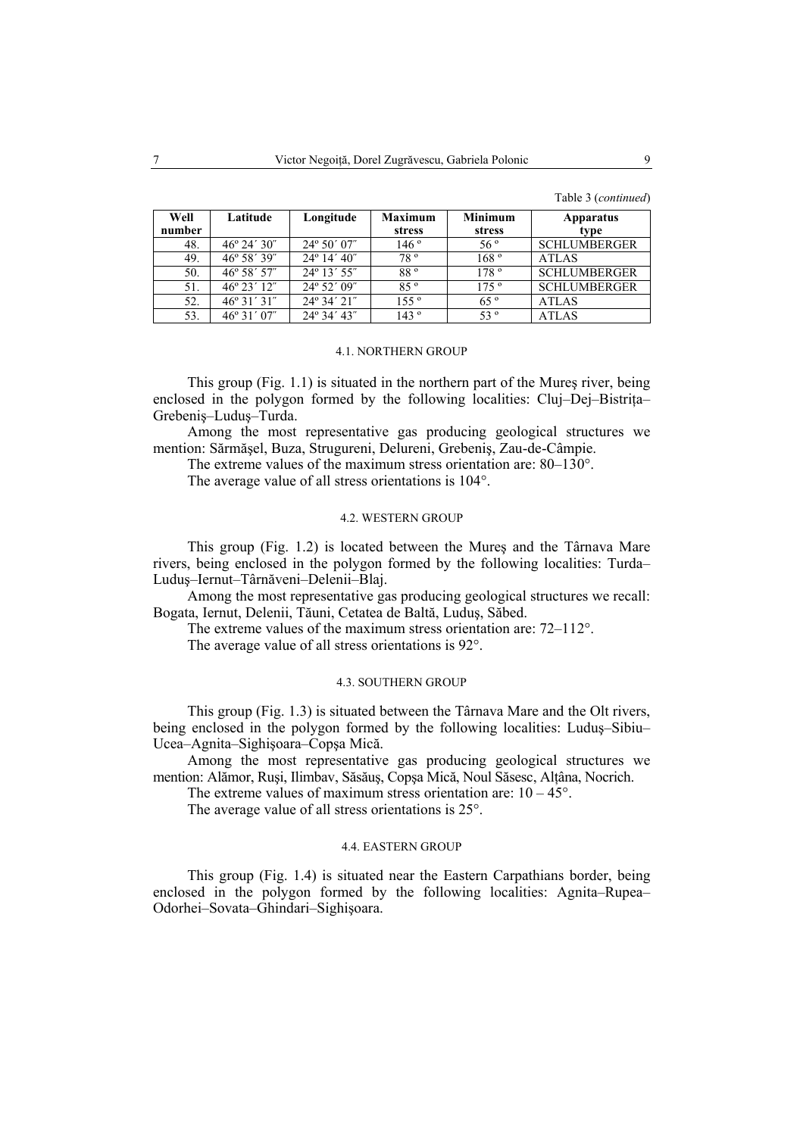| Table 3 ( <i>continued</i> ) |  |
|------------------------------|--|
|------------------------------|--|

| Well<br>number | Latitude              | Longitude                            | <b>Maximum</b><br>stress | <b>Minimum</b><br>stress | <b>Apparatus</b><br>type |
|----------------|-----------------------|--------------------------------------|--------------------------|--------------------------|--------------------------|
| 48.            | $46^{\circ} 24' 30''$ | $24^{\circ} 50' 07''$                | 146°                     | $56^{\circ}$             | <b>SCHLUMBERGER</b>      |
| 49.            | $46^{\circ} 58' 39''$ | $24^{\circ}$ 14' $40^{\prime\prime}$ | 78 <sup>°</sup>          | 168°                     | <b>ATLAS</b>             |
| 50.            | $46^{\circ} 58' 57''$ | $24^{\circ} 13' 55''$                | 88°                      | 178°                     | <b>SCHLUMBERGER</b>      |
| 51.            | $46^{\circ} 23' 12''$ | $24^{\circ} 52' 09''$                | 85°                      | 175°                     | <b>SCHLUMBERGER</b>      |
| 52.            | $46^{\circ}31'31''$   | 24° 34' 21"                          | 155°                     | 65°                      | <b>ATLAS</b>             |
| 53.            | $46^{\circ}31'07''$   | $24^{\circ} 34' 43''$                | 143°                     | 53 <sup>o</sup>          | <b>ATLAS</b>             |

#### 4.1. NORTHERN GROUP

This group (Fig. 1.1) is situated in the northern part of the Mureş river, being enclosed in the polygon formed by the following localities: Cluj–Dej–Bistrita– Grebeniş–Luduş–Turda.

Among the most representative gas producing geological structures we mention: Sărmăşel, Buza, Strugureni, Delureni, Grebeniş, Zau-de-Câmpie.

The extreme values of the maximum stress orientation are: 80–130°.

The average value of all stress orientations is 104°.

#### 4.2. WESTERN GROUP

This group (Fig. 1.2) is located between the Mureş and the Târnava Mare rivers, being enclosed in the polygon formed by the following localities: Turda– Luduş–Iernut–Târnăveni–Delenii–Blaj.

Among the most representative gas producing geological structures we recall: Bogata, Iernut, Delenii, Tăuni, Cetatea de Baltă, Luduş, Săbed.

The extreme values of the maximum stress orientation are: 72–112°.

The average value of all stress orientations is 92°.

## 4.3. SOUTHERN GROUP

This group (Fig. 1.3) is situated between the Târnava Mare and the Olt rivers, being enclosed in the polygon formed by the following localities: Luduş–Sibiu– Ucea–Agnita–Sighişoara–Copşa Mică.

Among the most representative gas producing geological structures we mention: Alămor, Ruşi, Ilimbav, Săsăuş, Copşa Mică, Noul Săsesc, Alţâna, Nocrich.

The extreme values of maximum stress orientation are:  $10 - 45^{\circ}$ .

The average value of all stress orientations is 25°.

# 4.4. EASTERN GROUP

This group (Fig. 1.4) is situated near the Eastern Carpathians border, being enclosed in the polygon formed by the following localities: Agnita–Rupea– Odorhei–Sovata–Ghindari–Sighişoara.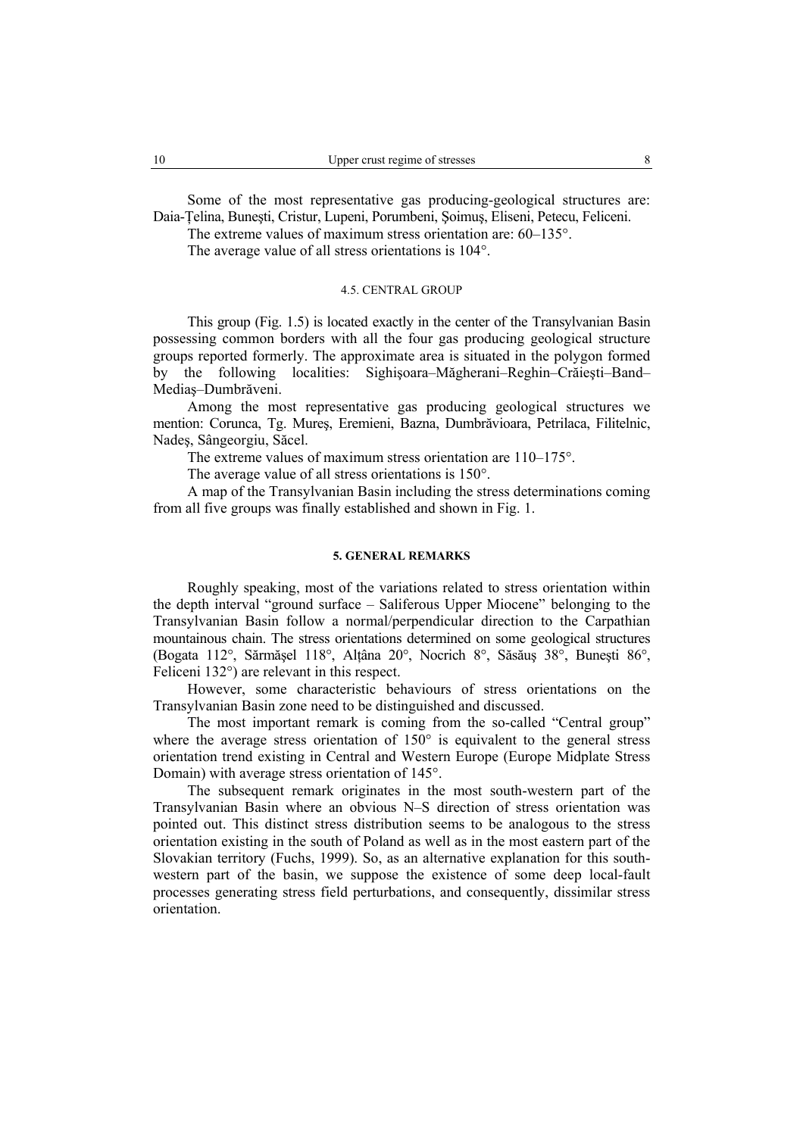Some of the most representative gas producing-geological structures are: Daia-Ţelina, Buneşti, Cristur, Lupeni, Porumbeni, Şoimuş, Eliseni, Petecu, Feliceni.

The extreme values of maximum stress orientation are: 60–135°.

The average value of all stress orientations is 104°.

# 4.5. CENTRAL GROUP

This group (Fig. 1.5) is located exactly in the center of the Transylvanian Basin possessing common borders with all the four gas producing geological structure groups reported formerly. The approximate area is situated in the polygon formed by the following localities: Sighişoara–Măgherani–Reghin–Crăieşti–Band– Mediaş–Dumbrăveni.

Among the most representative gas producing geological structures we mention: Corunca, Tg. Mureş, Eremieni, Bazna, Dumbrăvioara, Petrilaca, Filitelnic, Nadeş, Sângeorgiu, Săcel.

The extreme values of maximum stress orientation are 110–175°.

The average value of all stress orientations is 150°.

A map of the Transylvanian Basin including the stress determinations coming from all five groups was finally established and shown in Fig. 1.

### **5. GENERAL REMARKS**

Roughly speaking, most of the variations related to stress orientation within the depth interval "ground surface – Saliferous Upper Miocene" belonging to the Transylvanian Basin follow a normal/perpendicular direction to the Carpathian mountainous chain. The stress orientations determined on some geological structures (Bogata 112°, Sărmăşel 118°, Alţâna 20°, Nocrich 8°, Săsăuş 38°, Buneşti 86°, Feliceni 132°) are relevant in this respect.

However, some characteristic behaviours of stress orientations on the Transylvanian Basin zone need to be distinguished and discussed.

The most important remark is coming from the so-called "Central group" where the average stress orientation of 150° is equivalent to the general stress orientation trend existing in Central and Western Europe (Europe Midplate Stress Domain) with average stress orientation of 145°.

The subsequent remark originates in the most south-western part of the Transylvanian Basin where an obvious N–S direction of stress orientation was pointed out. This distinct stress distribution seems to be analogous to the stress orientation existing in the south of Poland as well as in the most eastern part of the Slovakian territory (Fuchs, 1999). So, as an alternative explanation for this southwestern part of the basin, we suppose the existence of some deep local-fault processes generating stress field perturbations, and consequently, dissimilar stress orientation.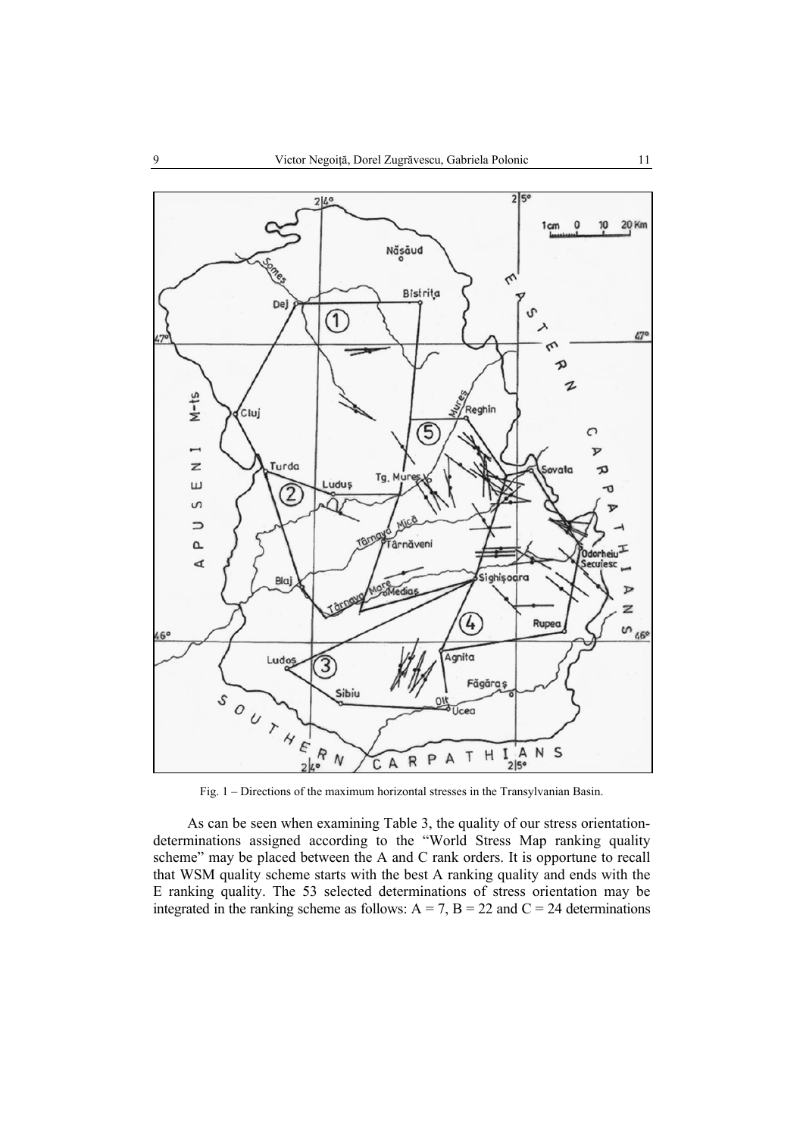

Fig. 1 – Directions of the maximum horizontal stresses in the Transylvanian Basin.

As can be seen when examining Table 3, the quality of our stress orientationdeterminations assigned according to the "World Stress Map ranking quality scheme" may be placed between the A and C rank orders. It is opportune to recall that WSM quality scheme starts with the best A ranking quality and ends with the E ranking quality. The 53 selected determinations of stress orientation may be integrated in the ranking scheme as follows:  $A = 7$ ,  $B = 22$  and  $C = 24$  determinations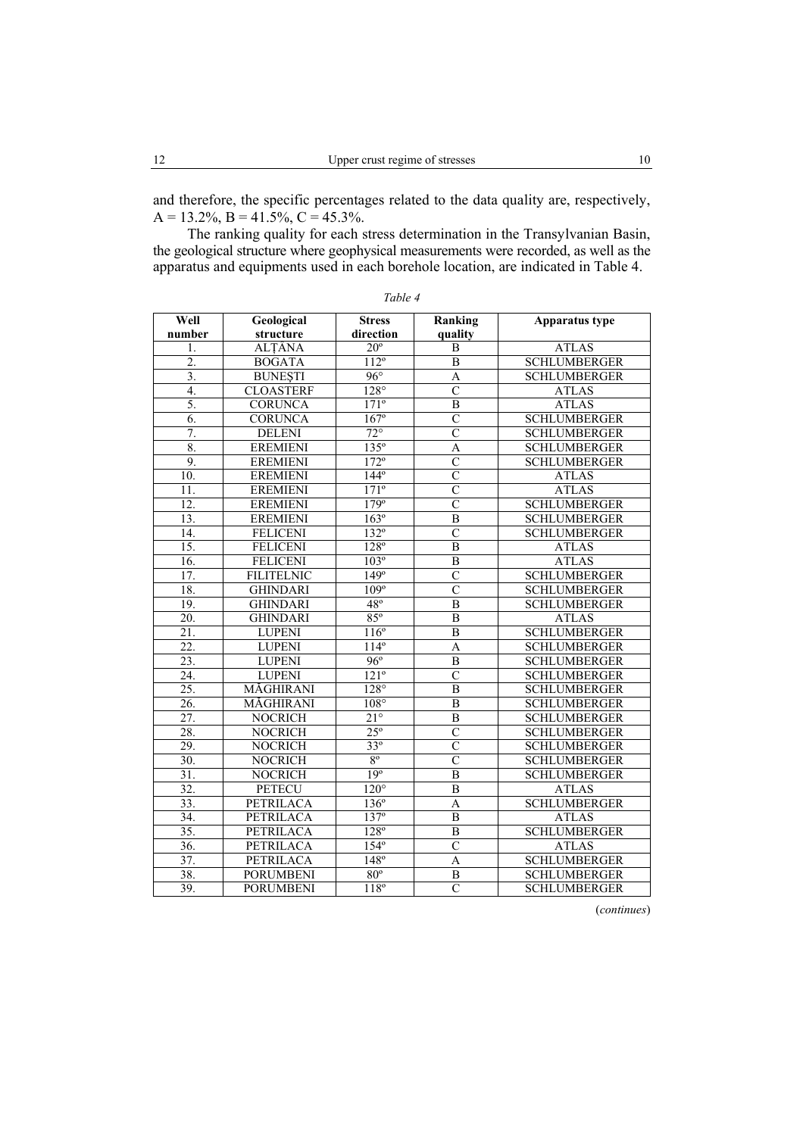and therefore, the specific percentages related to the data quality are, respectively,  $A = 13.2\%, B = 41.5\%, C = 45.3\%.$ 

The ranking quality for each stress determination in the Transylvanian Basin, the geological structure where geophysical measurements were recorded, as well as the apparatus and equipments used in each borehole location, are indicated in Table 4.

| Well              | Geological        | <b>Stress</b>            | Ranking                 | Apparatus type      |
|-------------------|-------------------|--------------------------|-------------------------|---------------------|
| number            | structure         |                          | quality                 |                     |
| 1.                | ALTÂNA            | $20^\circ$               | B                       | <b>ATLAS</b>        |
| 2.                | <b>BOGATA</b>     | $112^{\circ}$            | B                       | <b>SCHLUMBERGER</b> |
| $\overline{3}$ .  | <b>BUNESTI</b>    | $96^\circ$               | A                       | <b>SCHLUMBERGER</b> |
| 4.                | <b>CLOASTERF</b>  | $128^\circ$              | $\overline{\rm c}$      | <b>ATLAS</b>        |
| 5.                | <b>CORUNCA</b>    | $171^\circ$              | $\overline{B}$          | <b>ATLAS</b>        |
| 6.                | <b>CORUNCA</b>    | $167^\circ$              | $\overline{C}$          | <b>SCHLUMBERGER</b> |
| $\overline{7}$ .  | <b>DELENI</b>     | $\overline{72^{\circ}}$  | $\overline{C}$          | <b>SCHLUMBERGER</b> |
| 8.                | <b>EREMIENI</b>   | $135^\circ$              | A                       | <b>SCHLUMBERGER</b> |
| 9.                | <b>EREMIENI</b>   | $172^{\circ}$            | $\overline{\rm C}$      | <b>SCHLUMBERGER</b> |
| 10.               | <b>EREMIENI</b>   | $144^\circ$              | $\overline{C}$          | <b>ATLAS</b>        |
| 11.               | <b>EREMIENI</b>   | $171^\circ$              | $\overline{\rm c}$      | <b>ATLAS</b>        |
| 12.               | <b>EREMIENI</b>   | 179°                     | $\overline{\rm c}$      | <b>SCHLUMBERGER</b> |
| 13.               | <b>EREMIENI</b>   | $163^\circ$              | B                       | <b>SCHLUMBERGER</b> |
| 14.               | <b>FELICENI</b>   | $132^\circ$              | $\overline{C}$          | <b>SCHLUMBERGER</b> |
| $\overline{15}$ . | <b>FELICENI</b>   | $128^\circ$              | $\overline{B}$          | <b>ATLAS</b>        |
| $\overline{16}$ . | <b>FELICENI</b>   | $103^\circ$              | $\boldsymbol{B}$        | <b>ATLAS</b>        |
| 17.               | <b>FILITELNIC</b> | $\overline{149^\circ}$   | $\overline{C}$          | <b>SCHLUMBERGER</b> |
| 18.               | <b>GHINDARI</b>   | $109^\circ$              | $\overline{C}$          | <b>SCHLUMBERGER</b> |
| 19.               | <b>GHINDARI</b>   | $48^{\circ}$             | $\overline{B}$          | <b>SCHLUMBERGER</b> |
| 20.               | <b>GHINDARI</b>   | $85^\circ$               | B                       | <b>ATLAS</b>        |
| $\overline{21}$ . | <b>LUPENI</b>     | $116^{\circ}$            | $\overline{B}$          | <b>SCHLUMBERGER</b> |
| 22.               | <b>LUPENI</b>     | $114^{\circ}$            | $\overline{A}$          | <b>SCHLUMBERGER</b> |
| 23.               | <b>LUPENI</b>     | $96^\circ$               | B                       | <b>SCHLUMBERGER</b> |
| $\overline{24}$ . | <b>LUPENI</b>     | $\overline{121^{\circ}}$ | $\overline{C}$          | <b>SCHLUMBERGER</b> |
| 25.               | MĂGHIRANI         | $128^\circ$              | B                       | <b>SCHLUMBERGER</b> |
| 26.               | MĂGHIRANI         | $108^\circ$              | B                       | <b>SCHLUMBERGER</b> |
| 27.               | <b>NOCRICH</b>    | $21^{\circ}$             | $\overline{\mathbf{B}}$ | <b>SCHLUMBERGER</b> |
| 28.               | <b>NOCRICH</b>    | $25^{\circ}$             | $\overline{C}$          | <b>SCHLUMBERGER</b> |
| 29.               | <b>NOCRICH</b>    | $33^{\circ}$             | $\overline{C}$          | <b>SCHLUMBERGER</b> |
| $\overline{30}$ . | <b>NOCRICH</b>    | $8^{\circ}$              | $\overline{C}$          | <b>SCHLUMBERGER</b> |
| $\overline{31}$ . | <b>NOCRICH</b>    | 19 <sup>°</sup>          | B                       | <b>SCHLUMBERGER</b> |
| $\overline{32}$ . | <b>PETECU</b>     | $120^\circ$              | B                       | <b>ATLAS</b>        |
| 33.               | <b>PETRILACA</b>  | $136^\circ$              | $\overline{A}$          | <b>SCHLUMBERGER</b> |
| 34.               | <b>PETRILACA</b>  | $\overline{137^\circ}$   | $\overline{B}$          | <b>ATLAS</b>        |
| 35.               | PETRILACA         | $128^\circ$              | $\overline{B}$          | <b>SCHLUMBERGER</b> |
| $\overline{36}$ . | PETRILACA         | $154^\circ$              | $\overline{C}$          | <b>ATLAS</b>        |
| 37.               | <b>PETRILACA</b>  | 148°                     | A                       | <b>SCHLUMBERGER</b> |
| 38.               | <b>PORUMBENI</b>  | $80^\circ$               | $\, {\bf B}$            | <b>SCHLUMBERGER</b> |
| 39.               | <b>PORUMBENI</b>  | $118^{\circ}$            | $\overline{C}$          | <b>SCHLUMBERGER</b> |

*Table 4* 

(*continues*)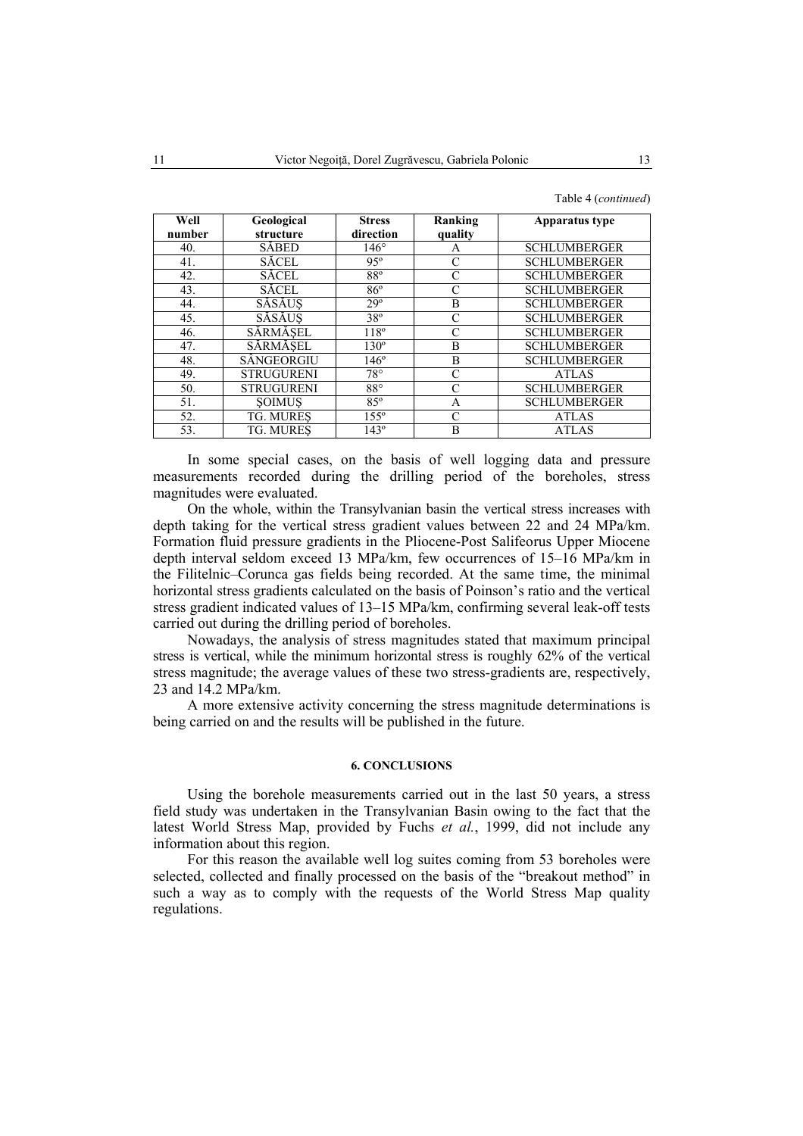Table 4 (*continued*)

| Well   | Geological        | <b>Stress</b> | Ranking       | <b>Apparatus type</b> |
|--------|-------------------|---------------|---------------|-----------------------|
| number | structure         | direction     | quality       |                       |
| 40.    | <b>SÅBED</b>      | $146^\circ$   | A             | <b>SCHLUMBERGER</b>   |
| 41.    | <b>SĂCEL</b>      | $95^\circ$    | C             | <b>SCHLUMBERGER</b>   |
| 42.    | <b>SĂCEL</b>      | $88^{\circ}$  | $\mathcal{C}$ | <b>SCHLUMBERGER</b>   |
| 43.    | <b>SĂCEL</b>      | $86^\circ$    | C             | <b>SCHLUMBERGER</b>   |
| 44.    | SĂSĂUS            | $29^\circ$    | B             | <b>SCHLUMBERGER</b>   |
| 45.    | SĂSĂUS            | $38^\circ$    | C             | <b>SCHLUMBERGER</b>   |
| 46.    | SĂRMĂSEL          | $118^\circ$   | C             | <b>SCHLUMBERGER</b>   |
| 47.    | SĂRMĂSEL          | $130^\circ$   | B             | <b>SCHLUMBERGER</b>   |
| 48.    | SÂNGEORGIU        | $146^\circ$   | B             | <b>SCHLUMBERGER</b>   |
| 49.    | <b>STRUGURENI</b> | $78^{\circ}$  | C             | <b>ATLAS</b>          |
| 50.    | <b>STRUGURENI</b> | $88^\circ$    | $\mathcal{C}$ | <b>SCHLUMBERGER</b>   |
| 51.    | <b>SOIMUS</b>     | $85^\circ$    | A             | <b>SCHLUMBERGER</b>   |
| 52.    | <b>TG. MURES</b>  | $155^\circ$   | C             | <b>ATLAS</b>          |
| 53.    | TG. MURES         | $143^\circ$   | B             | <b>ATLAS</b>          |

In some special cases, on the basis of well logging data and pressure measurements recorded during the drilling period of the boreholes, stress magnitudes were evaluated.

On the whole, within the Transylvanian basin the vertical stress increases with depth taking for the vertical stress gradient values between 22 and 24 MPa/km. Formation fluid pressure gradients in the Pliocene-Post Salifeorus Upper Miocene depth interval seldom exceed 13 MPa/km, few occurrences of 15–16 MPa/km in the Filitelnic–Corunca gas fields being recorded. At the same time, the minimal horizontal stress gradients calculated on the basis of Poinson's ratio and the vertical stress gradient indicated values of 13–15 MPa/km, confirming several leak-off tests carried out during the drilling period of boreholes.

Nowadays, the analysis of stress magnitudes stated that maximum principal stress is vertical, while the minimum horizontal stress is roughly 62% of the vertical stress magnitude; the average values of these two stress-gradients are, respectively, 23 and 14.2 MPa/km.

A more extensive activity concerning the stress magnitude determinations is being carried on and the results will be published in the future.

#### **6. CONCLUSIONS**

Using the borehole measurements carried out in the last 50 years, a stress field study was undertaken in the Transylvanian Basin owing to the fact that the latest World Stress Map, provided by Fuchs *et al.*, 1999, did not include any information about this region.

For this reason the available well log suites coming from 53 boreholes were selected, collected and finally processed on the basis of the "breakout method" in such a way as to comply with the requests of the World Stress Map quality regulations.